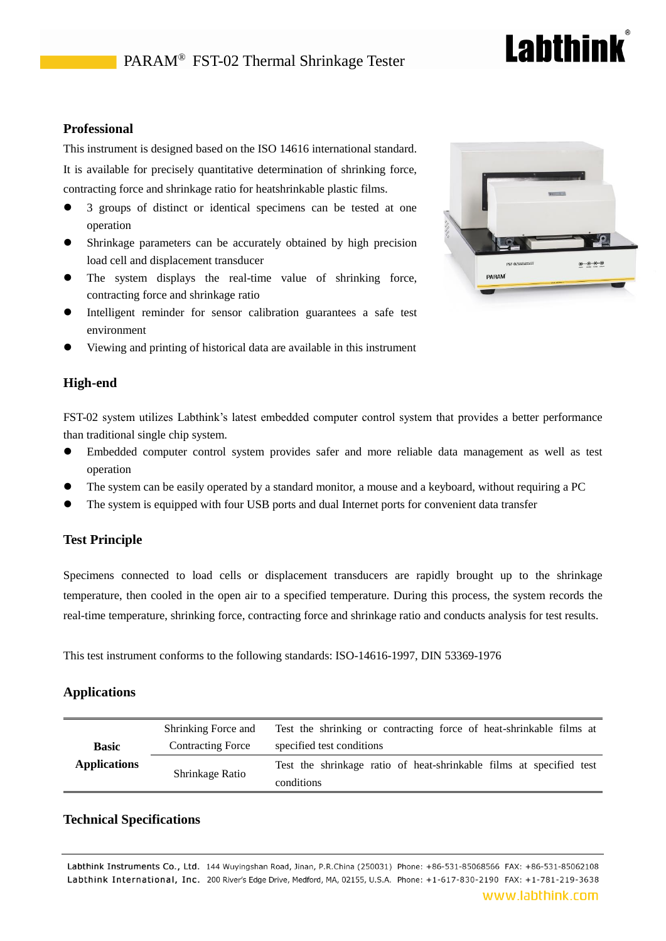# **Lahthink**

### **Professional**

This instrument is designed based on the ISO 14616 international standard. It is available for precisely quantitative determination of shrinking force, contracting force and shrinkage ratio for heatshrinkable plastic films.

- 3 groups of distinct or identical specimens can be tested at one operation
- Shrinkage parameters can be accurately obtained by high precision load cell and displacement transducer
- The system displays the real-time value of shrinking force, contracting force and shrinkage ratio
- Intelligent reminder for sensor calibration guarantees a safe test environment
- Viewing and printing of historical data are available in this instrument

#### **High-end**

FST-02 system utilizes Labthink's latest embedded computer control system that provides a better performance than traditional single chip system.

- Embedded computer control system provides safer and more reliable data management as well as test operation
- The system can be easily operated by a standard monitor, a mouse and a keyboard, without requiring a PC
- The system is equipped with four USB ports and dual Internet ports for convenient data transfer

#### **Test Principle**

Specimens connected to load cells or displacement transducers are rapidly brought up to the shrinkage temperature, then cooled in the open air to a specified temperature. During this process, the system records the real-time temperature, shrinking force, contracting force and shrinkage ratio and conducts analysis for test results.

This test instrument conforms to the following standards: ISO-14616-1997, DIN 53369-1976

#### **Applications**

|                     | Shrinking Force and      | Test the shrinking or contracting force of heat-shrinkable films at |
|---------------------|--------------------------|---------------------------------------------------------------------|
| <b>Basic</b>        | <b>Contracting Force</b> | specified test conditions                                           |
| <b>Applications</b> | Shrinkage Ratio          | Test the shrinkage ratio of heat-shrinkable films at specified test |
|                     |                          | conditions                                                          |

#### **Technical Specifications**

Labthink Instruments Co., Ltd. 144 Wuyingshan Road, Jinan, P.R.China (250031) Phone: +86-531-85068566 FAX: +86-531-85062108 Labthink International, Inc. 200 River's Edge Drive, Medford, MA, 02155, U.S.A. Phone: +1-617-830-2190 FAX: +1-781-219-3638